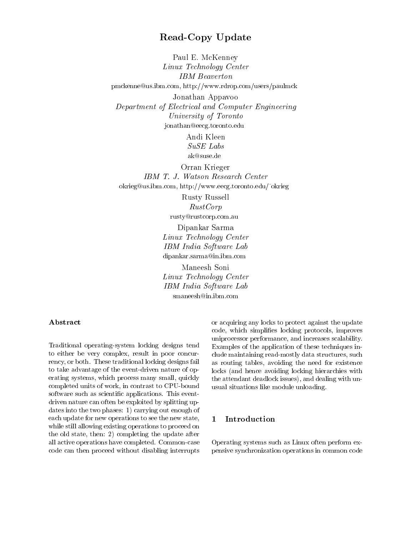## Read-Copy Update

Paul E. McKenney Linux Technology Center  $\blacksquare$   $\blacksquare$   $\blacksquare$   $\blacksquare$   $\blacksquare$   $\blacksquare$   $\blacksquare$   $\blacksquare$   $\blacksquare$   $\blacksquare$   $\blacksquare$   $\blacksquare$   $\blacksquare$   $\blacksquare$   $\blacksquare$   $\blacksquare$   $\blacksquare$   $\blacksquare$   $\blacksquare$   $\blacksquare$   $\blacksquare$   $\blacksquare$   $\blacksquare$   $\blacksquare$   $\blacksquare$   $\blacksquare$   $\blacksquare$   $\blacksquare$   $\blacksquare$   $\blacksquare$   $\blacksquare$   $\blacks$ pmckenne@us.ibm.com, http://www.rdrop.com/users/paulmck Jonathan Appavoo Department of Electrical and Computer Engineering University of Torontonian jonathan@eecg.toronto.edu

> Andi Kleen  $SuSE$  Labs  $\sim$  we  $\overline{\phantom{a}}$ ak@suse.de

Orran Krieger IBM T. J. Watson Research Center okrieg@us.ibm.com, http://www.eecg.toronto.edu/~okrieg

> Rusty Russell RustCorprusty@rustcorp.com.au

Dipankar Sarma Linux Technology Center  $\blacksquare$ dipankar.sarma@in.ibm.com

Maneesh Soni Linux Technology Center  $\blacksquare$   $\blacksquare$   $\blacksquare$   $\blacksquare$   $\blacksquare$   $\blacksquare$   $\blacksquare$   $\blacksquare$   $\blacksquare$   $\blacksquare$   $\blacksquare$   $\blacksquare$   $\blacksquare$   $\blacksquare$   $\blacksquare$   $\blacksquare$   $\blacksquare$   $\blacksquare$   $\blacksquare$   $\blacksquare$   $\blacksquare$   $\blacksquare$   $\blacksquare$   $\blacksquare$   $\blacksquare$   $\blacksquare$   $\blacksquare$   $\blacksquare$   $\blacksquare$   $\blacksquare$   $\blacksquare$   $\blacks$ smaneesh@in.ibm.com

Traditional operating-system locking designs tend to either be very complex, result in poor concurrency, or both. These traditional locking designs fail to take advantage of the event-driven nature of operating systems, which process many small, quickly completed units of work, in contrast to CPU-bound software such as scientic applications. This eventdriven nature can often be exploited by splitting updates into the two phases: 1) carrying out enough of each update for new operations to see the new state, 1 while still allowing existing operations to proceed on the old state, then: 2) completing the update after all active operations have completed. Common-case code can then proceed without disabling interrupts

or acquiring any locks to protect against the update code, which simplies locking protocols, improves uniprocessor performance, and increases scalability. Examples of the application of these techniques include maintaining read-mostly data structures, such as routing tables, avoiding the need for existence locks (and hence avoiding locking hierarchies with the attendant deadlock issues), and dealing with unusual situations like module unloading.

#### **Introduction**

Operating systems such as Linux often perform expensive synchronization operations in common code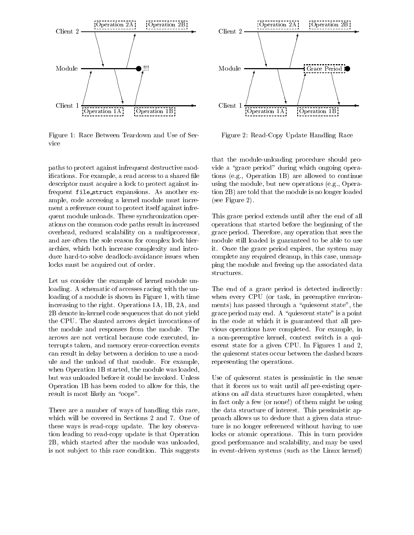

Figure 1: Race Between Teardown and Use of Service

paths to protect against infrequent destructive modifications. For example, a read access to a shared file descriptor must acquire a lock to protect against infrequent file struct expansions. As another example, code accessing a kernel module must increment a reference count to protect itself against infrequent module unloads. These synchronization operations on the common code paths result in increased overhead, reduced scalability on a multiprocessor, and are often the sole reason for complex lock hierarchies, which both increase complexity and introduce hard-to-solve deadlock-avoidance issues when locks must be acquired out of order.

Let us consider the example of kernel module unloading. A schematic of accesses racing with the unloading of a module is shown in Figure 1, with time increasing to the right. Operations 1A, 1B, 2A, and 2B denote in-kernel code sequences that do not yield the CPU. The slanted arrows depict invocations of the module and responses from the module. The arrows are not vertical because code executed, interrupts taken, and memory error-correction events can result in delay between a decision to use a module and the unload of that module. For example, when Operation 1B started, the module was loaded, but was unloaded before it could be invoked. Unless Operation 1B has been coded to allow for this, the result is most likely an "oops".

There are a number of ways of handling this race, which will be covered in Sections 2 and 7. One of these ways is read-copy update. The key observation leading to read-copy update is that Operation 2B, which started after the module was unloaded, is not sub ject to this race condition. This suggests



Figure 2: Read-Copy Update Handling Race

that the module-unloading procedure should provide a "grace period" during which ongoing operations (e.g., Operation 1B) are allowed to continue using the module, but new operations (e.g., Operation 2B) are told that the module is no longer loaded (see Figure 2).

This grace period extends until after the end of all operations that started before the beginning of the grace period. Therefore, any operation that sees the module still loaded is guaranteed to be able to use it. Once the grace period expires, the system may complete any required cleanup, in this case, unmapping the module and freeing up the associated data structures.

The end of a grace period is detected indirectly: when every CPU (or task, in preemptive environments) has passed through a "quiescent state", the grace period may end. A "quiescent state" is a point in the code at which it is guaranteed that all previous operations have completed. For example, in a non-preemptive kernel, context switch is a quiescent state for a given CPU. In Figures 1 and 2, the quiescent states occur between the dashed boxes representing the operations.

Use of quiescent states is pessimistic in the sense that it forces us to wait until all pre-existing operations on all data structures have completed, when in fact only a few (or none!) of them might be using the data structure of interest. This pessimistic approach allows us to deduce that a given data structure is no longer referenced without having to use locks or atomic operations. This in turn provides good performance and scalability, and may be used in event-driven systems (such as the Linux kernel)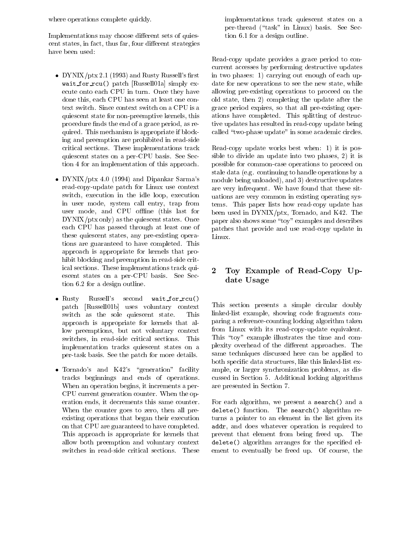where operations complete quickly.

Implementations may choose different sets of quiescent states, in fact, thus far, four different strategies have been used:

- DYNIX/ptx 2.1 (1993) and Rusty Russell's first in wait for rcu() patch [Russell01a] simply execute onto each CPU in turn. Once they have done this, each CPU has seen at least one context switch. Since context switch on a CPU is a quiescent state for non-preemptive kernels, this procedure finds the end of a grace period, as required. This mechanism is appropriate if blocking and preemption are prohibited in read-side critical sections. These implementations track quiescent states on a per-CPU basis. See Section 4 for an implementation of this approach.
- DYNIX/ptx 4.0 (1994) and Dipankar Sarma's  $m<sub>0</sub>$ read-copy-update patch for Linux use context switch, execution in the idle loop, execution in user mode, system call entry, trap from user mode, and CPU offline (this last for DYNIX/ptx only) as the quiescent states. Once each CPU has passed through at least one of these quiescent states, any pre-existing operations are guaranteed to have completed. This approach is appropriate for kernels that prohibit blocking and preemption in read-side critical sections. These implementations track quiescent states on a per-CPU basis. See Section 6.2 for a design outline.
- $\bullet$  Rusty Russell's second wait\_for\_rcu() patch [Russell01b] uses voluntary context switch as the sole quiescent state. This approach is appropriate for kernels that allow preemptions, but not voluntary context switches, in read-side critical sections. This implementation tracks quiescent states on a per-task basis. See the patch for more details.
- Tornado's and K42's "generation" facility ampl tracks beginnings and ends of operations. When an operation begins, it increments a per-CPU current generation counter. When the operation ends, it decrements this same counter. When the counter goes to zero, then all preexisting operations that began their execution on that CPU are guaranteed to have completed. This approach is appropriate for kernels that allow both preemption and voluntary context switches in read-side critical sections. These

implementations track quiescent states on a per-thread ("task" in Linux) basis. See Section 6.1 for a design outline.

Read-copy update provides a grace period to concurrent accesses by performing destructive updates in two phases: 1) carrying out enough of each update for new operations to see the new state, while allowing pre-existing operations to proceed on the old state, then 2) completing the update after the grace period expires, so that all pre-existing operations have completed. This splitting of destructive updates has resulted in read-copy update being called "two-phase update" in some academic circles.

Read-copy update works best when: 1) it is possible to divide an update into two phases, 2) it is possible for common-case operations to proceed on stale data (e.g. continuing to handle operations by a module being unloaded), and 3) destructive updates are very infrequent. We have found that these situations are very common in existing operating systems. This paper lists how read-copy update has been used in DYNIX/ptx, Tornado, and K42. The paper also shows some \toy" examples and describes patches that provide and use read-copy update in Linux.

## 2 Toy Example of Read-Copy Update Usage

This section presents a simple circular doubly linked-list example, showing code fragments comparing a reference-counting locking algorithm taken from Linux with its read-copy-update equivalent. This "toy" example illustrates the time and complexity overhead of the different approaches. The same techniques discussed here can be applied to both specic data structures, like this linked-list example, or larger synchronization problems, as discussed in Section 5. Additional locking algorithms are presented in Section 7.

For each algorithm, we present a search() and a  $\alpha$  delete $\gamma$  function. The search search and  $\gamma$  and  $\gamma$ turns a pointer to an element in the list given its addr, and does whatever operation is required to prevent that element from being freed up. The delete() algorithm arranges for the specied element to eventually be freed up. Of course, the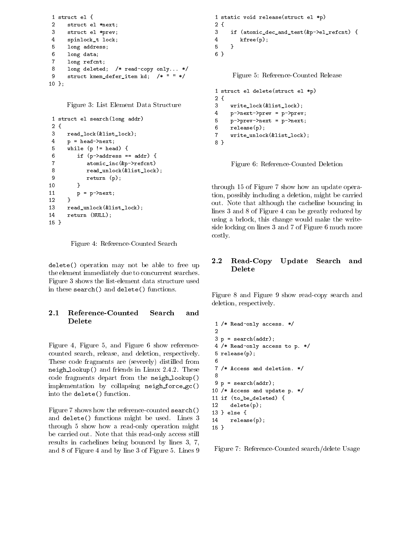```
1 struct el {
\mathcal{D}struct el *next;
3
     struct el *prev;
4 spinlock_t lock;
.5
     long address;
6 long data;
7 long refcnt;
     long deleted; /* read-copy only... */
8
9 struct kmem_defer_item kd; /* " " */
10 };
```
Figure 3: List Element Data Structure

```
1 struct el search(long addr)
2 {
3 read_lock(&list_lock);
4 p = head->next;
5 while (p := head) {
6 if (p-\texttt{zaddress} == \texttt{addr}) {
7 atomic_inc(&p->refcnt)
8 read_unlock(&list_lock);
9 return (p);
10 }
11
        p = p->next;12\mathbf{r}12 }
13
     13 read_unlock(&list_lock);
14
     return (NULL);
15 }
```
Figure 4: Reference-Counted Search

delete() operation may not be able to free up the element immediately due to concurrent searches. Figure 3 shows the list-element data structure used in these search() and delete() functions.

## Delete

Figure 4, Figure 5, and Figure 6 show referencecounted search, release, and deletion, respectively. These code fragments are (severely) distilled from neigh lookup() and friends in Linux 2.4.2. These substitutions code fragments depart from the neigh lookup() implementation by collapsing neigh force gc() into the delete() function.

Figure 7 shows how the reference-counted search() and delete() functions might be used. Lines 3 14 through 5 show how a read-only operation might be carried out. Note that this read-only access still results in cachelines being bounced by lines 3, 7, and 8 of Figure 4 and by line 3 of Figure 5. Lines 9

```
1 static void release(struct el *p)
2 {
3
     3 if (atomic_dec_and_test(&p->el_refcnt) {
4 kfree(p);
5
     \mathcal{F}5 }
6 }
```
Figure 5: Reference-Counted Release

```
1 struct el delete(struct el *p)
-2 -2\overline{3}3 write_lock(&list_lock);
\overline{4}p->next->prev = p->prev;
5 p->prev->next = p->next;
6
     release(p);
7 write_unlock(&list_lock);
8 }
```
Figure 6: Reference-Counted Deletion

through 15 of Figure 7 show how an update operation, possibly including a deletion, might be carried out. Note that although the cacheline bouncing in lines 3 and 8 of Figure 4 can be greatly reduced by using a brlock, this change would make the writeside locking on lines 3 and 7 of Figure 6 much more costly.

# 2.2 Read-Copy Update Search and

Figure 8 and Figure 9 show read-copy search and deletion, respectively.

```
1 /* Read-only access. */
 \overline{2}3 p = search(addr);4 /* Read-only access to p. */
 5 release(p);
6
7 /* Access and deletion. */
9 p = search(addr);
10 /* Access and update p. */
11 if (to_be_deleted) {
12 delete(p);
13 } else {
      relcase(p);15 }
```
Figure 7: Reference-Counted search/delete Usage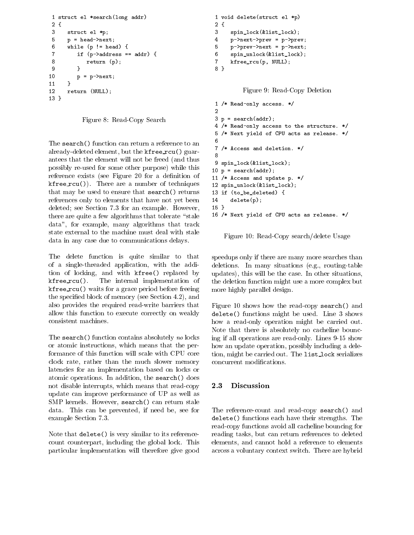```
1 struct el *search(long addr)
2 {
3 struct el *p;
5 p = head \rightarrow next;6
      while (p != head) {
7 if (p-\texttt{zddress} == \texttt{addr}) {
8 return (p);
9
 9 }
10 p = p - \lambda n e x t;
      <sup>}</sup>
1111 }
12 return (NULL);
13<sup>1</sup>
```
13 }

Figure 8: Read-Copy Search

The search() function can return a reference to an already-deleted element, but the kfree\_rcu() guarantees that the element will not be freed (and thus possibly re-used for some other purpose) while this reference exists (see Figure 20 for a definition of  $k$ free random ()). There are a number of techniques of the  $\mathcal{L}_{\mathcal{A}}$ that may be used to ensure that search() returns references only to elements that have not yet been deleted; see Section 7.3 for an example. However, there are quite a few algorithms that tolerate "stale" data", for example, many algorithms that track state external to the machine must deal with stale data in any case due to communications delays.

The delete function is quite similar to that of a single-threaded application, with the addition of locking, and with kfree() replaced by The internal implementation of  $k$ free $rcu()$ .  $\mathbf{r}$  and  $\mathbf{r}$  and a grace period before free  $\mathbf{r}$  and  $\mathbf{r}$ the specied block of memory (see Section 4.2), and also provides the required read-write barriers that allow this function to execute correctly on weakly consistent machines.

The search() function contains absolutely no locks or atomic instructions, which means that the performance of this function will scale with CPU core clock rate, rather than the much slower memory latencies for an implementation based on locks or atomic operations. In addition, the search() does not disable interrupts, which means that read-copy 2.3 update can improve performance of UP as well as SMP kernels. However, search() can return stale data. This can be prevented, if need be, see for example Section 7.3.

Note that delete() is very similar to its referencecount counterpart, including the global lock. This particular implementation will therefore give good

```
1 void delete(struct el *p)
2 {
3
     3 spin_lock(&list_lock);
4 p->next->prev = p->prev;
5
     5 p->prev->next = p->next;
6 spin_unlock(&list_lock);
7 kfree_rcu(p, NULL);
8 }
```
Figure 9: Read-Copy Deletion

```
1 /* Read-only access. */
 \mathcal{L}3 p = search(addr);4 /* Read-only access to the structure. */
 5 /* Next yield of CPU acts as release. */
6
7 /* Access and deletion. */
8
9 spin_lock(&list_lock);
10 p = search(addr);11 /* Access and update p. */
12 spin_unlock(&list_lock);
13 if (to_be_deleted) {
14delete(p);15 }
-- -
16 /* Next yield of CPU acts as release. */
```
Figure 10: Read-Copy search/delete Usage

speedups only if there are many more searches than deletions. In many situations (e.g., routing-table updates), this will be the case. In other situations, the deletion function might use a more complex but more highly parallel design.

Figure 10 shows how the read-copy search() and delete() functions might be used. Line 3 shows how a read-only operation might be carried out. Note that there is absolutely no cacheline bouncing if all operations are read-only. Lines 9-15 show how an update operation, possibly including a deletion, might be carried out. The list lock serializes concurrent modications.

## Discussion

The reference-count and read-copy search() and delete () functions each matrix control strengths. The stre read-copy functions avoid all cacheline bouncing for reading tasks, but can return references to deleted elements, and cannot hold a reference to elements across a voluntary context switch. There are hybrid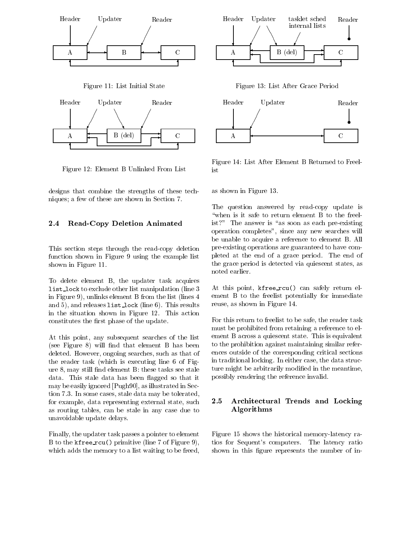

Figure 12: Element B Unlinked From List

designs that combine the strengths of these techniques; a few of these are shown in Section 7.

#### 2.4 Read-Copy Deletion Animated

This section steps through the read-copy deletion function shown in Figure 9 using the example list shown in Figure 11.

To delete element B, the updater task acquires list lock to exclude other list manipulation (line 3 in Figure 9), unlinks element B from the list (lines 4 and 5), and releases list lock (line 6). This results in the situation shown in Figure 12. This action constitutes the first phase of the update.

At this point, any subsequent searches of the list (see Figure  $8$ ) will find that element  $B$  has been deleted. However, ongoing searches, such as that of the reader task (which is executing line 6 of Figure 8, may still nd element B: these tasks see stale data. This stale data has been flagged so that it may be easily ignored [Pugh90], as illustrated in Section 7.3. In some cases, stale data may be tolerated, for example, data representing external state, such  $2.5$ as routing tables, can be stale in any case due to unavoidable update delays.

Finally, the updater task passes a pointer to element B to the kfree rcu() primitive (line 7 of Figure 9), which adds the memory to a list waiting to be freed,



Figure 13: List After Grace Period



Figure 14: List After Element B Returned to Freelist

as shown in Figure 13.

The question answered by read-copy update is "when is it safe to return element B to the freelist?" The answer is "as soon as each pre-existing operation completes", since any new searches will be unable to acquire a reference to element B. All pre-existing operations are guaranteed to have completed at the end of a grace period. The end of the grace period is detected via quiescent states, as noted earlier.

At this point, kfree\_rcu() can safely return element B to the freelist potentially for immediate reuse, as shown in Figure 14.

For this return to freelist to be safe, the reader task must be prohibited from retaining a reference to element B across a quiescent state. This is equivalent to the prohibition against maintaining similar references outside of the corresponding critical sections in traditional locking. In either case, the data structure might be arbitrarily modified in the meantime, possibly rendering the reference invalid.

#### Architectural Trends and Locking Algorithms

Figure 15 shows the historical memory-latency ratios for Sequent's computers. The latency ratio shown in this figure represents the number of in-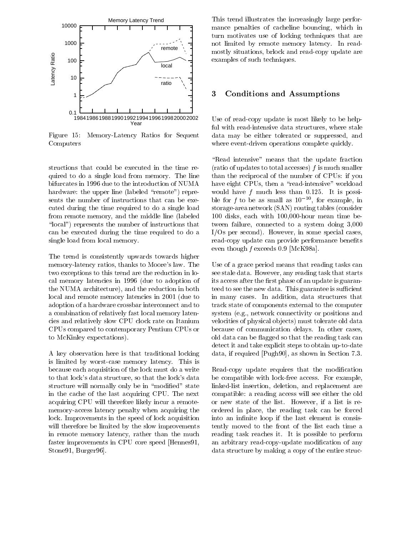

Figure 15: Memory-Latency Ratios for Sequent Computers

structions that could be executed in the time required to do a single load from memory.The line bifurcates in 1996 due to the introduction of NUMA hardware: the upper line (labeled "remote") represents the number of instructions that can be executed during the time required to do a single load from remote memory, and the middle line (labeled " $\lceil \text{local} \rceil$ " represents the number of instructions that can be executed during the time required to do a single load from local memory.

The trend is consistently upwards towards higher memory-latency ratios, thanks to Moore's law. The two exceptions to this trend are the reduction in local memory latencies in 1996 (due to adoption of the NUMA architecture), and the reduction in both local and remote memory latencies in 2001 (due to adoption of a hardware crossbar interconnect and to a combination of relatively fast local memory latencies and relatively slow CPU clock rate on Itanium CPUs compared to contemporary Pentium CPUs or to McKinley expectations).

A key observation here is that traditional locking is limited by worst-case memory latency. This is because each acquisition of the lock must do a write to that lock's data structure, so that the lock's data structure will normally only be in "modified" state in the cache of the last acquiring CPU. The next acquiring CPU will therefore likely incur a remotememory-access latency penalty when acquiring the lock. Improvements in the speed of lock acquisition will therefore be limited by the slow improvements in remote memory latency, rather than the much faster improvements in CPU core speed [Hennes91, Stone91, Burger96].

This trend illustrates the increasingly large performance penalties of cacheline bouncing, which in turn motivates use of locking techniques that are not limited by remote memory latency. In readmostly situations, brlock and read-copy update are examples of such techniques.

#### 3 3 Conditions and Assumptions

Use of read-copy update is most likely to be helpful with read-intensive data structures, where stale data may be either tolerated or suppressed, and where event-driven operations complete quickly.

"Read intensive" means that the update fraction (ratio of updates to total accesses)  $f$  is much smaller than the reciprocal of the number of CPUs: if you have eight CPUs, then a "read-intensive" workload would have  $f$  much less than 0.125. It is possible for  $\bar{f}$  to be as small as  $10^{-10}$ , for example, in storage-area network (SAN) routing tables (consider 100 disks, each with 100,000-hour mean time between failure, connected to a system doing 3,000 I/Os per second). However, in some special cases, read-copy update can provide performance benefits even though f exceeds 0.9 [McK98a].

Use of a grace period means that reading tasks can see stale data. However, any reading task that starts its access after the first phase of an update is guaranteed to see the new data. This guarantee is sufficient in many cases. In addition, data structures that track state of components external to the computer system (e.g., network connectivity or positions and velocities of physical ob jects) must tolerate old data because of communication delays. In other cases, old data can be flagged so that the reading task can detect it and take explicit steps to obtain up-to-date data, if required [Pugh90], as shown in Section 7.3.

Read-copy update requires that the modification be compatible with lock-free access. For example, linked-list insertion, deletion, and replacement are compatible: a reading access will see either the old or new state of the list. However, if a list is reordered in place, the reading task can be forced into an infinite loop if the last element is consistently moved to the front of the list each time a reading task reaches it. It is possible to perform an arbitrary read-copy-update modication of any data structure by making a copy of the entire struc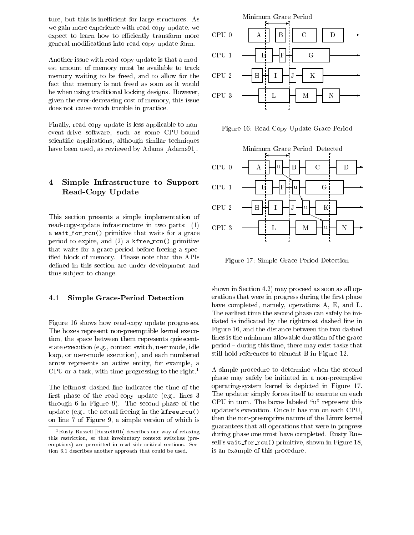ture, but this is inefficient for large structures. As we gain more experience with read-copy update, we expect to learn how to efficiently transform more general modications into read-copy update form.

Another issue with read-copy update is that a modest amount of memory must be available to track memory waiting to be freed, and to allow for the fact that memory is not freed as soon as it would be when using traditional locking designs. However, given the ever-decreasing cost of memory, this issue does not cause much trouble in practice.

Finally, read-copy update is less applicable to nonevent-drive software, such as some CPU-bound scientic applications, although similar techniques have been used, as reviewed by Adams [Adams91].

#### $\frac{1}{2}$  Simple Infrastructure to Support  $\frac{1}{2}$  $\overline{\mathbf{4}}$ Read-Copy Update

This section presents a simple implementation of read-copy-update infrastructure in two parts:  $(1)$  CPU 3 a wait for rcu() primitive that waits for a grace period to expire, and  $(2)$  a kfree\_rcu() primitive that waits for a grace period before freeing a specied block of memory. Please note that the APIs defined in this section are under development and thus subject to change.

#### 4.1 Simple Grace-Period Detection

Figure 16 shows how read-copy update progresses. The boxes represent non-preemptible kernel execution, the space between them represents quiescentstate execution (e.g., context switch, user mode, idle loop, or user-mode execution), and each numbered arrow represents an active entity, for example, a CPU or a task, with time progressing to the right.<sup>1</sup>

The leftmost dashed line indicates the time of the first phase of the read-copy update (e.g., lines  $3$ through 6 in Figure 9). The second phase of the update (e.g., the actual freeing in the  $k$ free\_rcu() on line 7 of Figure 9, a simple version of which is



Figure 16: Read-Copy Update Grace Period



Figure 17: Simple Grace-Period Detection

shown in Section 4.2) may proceed as soon as all operations that were in progress during the first phase have completed, namely, operations A, E, and L. The earliest time the second phase can safely be initiated is indicated by the rightmost dashed line in Figure 16, and the distance between the two dashed lines is the minimum allowable duration of the grace period { during this time, there may exist tasks that still hold references to element B in Figure 12.

 during phase one must have completed. Rusty Rus-A simple procedure to determine when the second phase may safely be initiated in a non-preemptive operating-system kernel is depicted in Figure 17. The updater simply forces itself to execute on each  $CPU$  in turn. The boxes labeled " $u$ " represent this updater's execution. Once it has run on each CPU, then the non-preemptive nature of the Linux kernel guarantees that all operations that were in progress sell's wait for rcu() primitive, shown in Figure 18, is an example of this procedure.

 $^1$ Rusty Russell [Russell01b] describes one way of relaxing this restriction, so that involuntary context switches (preemptions) are permitted in read-side critical sections. Section 6.1 describes another approach that could be used.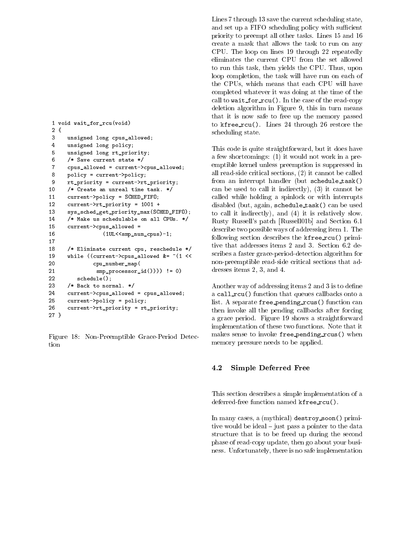```
1 void wait_for_rcu(void)
2 {
3 unsigned long cpus_allowed;
\overline{4}unsigned long policy;
5 unsigned long rt_priority;
6 /* Save current state */
7 cpus_allowed = current->cpus_allowed;
8
     8 policy = current->policy;
\mathbf{Q}9 rt_priority = current->rt_priority;
10 /* Create an unreal time task. */
11 current->policy = SCHED_FIFO;
12 current->rt_priority = 1001 +
13 sys_sched_get_priority_max(SCHED_FIFO);
14 /* Make us schedulable on all CPUs. */
15 current->cpus_allowed =
16 (1UL<<smp_num_cpus)-1;
17
18 /* Eliminate current cpu, reschedule */
19 while ((current->cpus_allowed &= ~(1 <<
20 cpu_number_map(
21 \text{sup\_processor_id()})) != 0)
22 schedule();
23 /* Back to normal. */
24
     current->cpus_allowed = cpus_allowed;
25 current->policy = policy;
26 current->rt_priority = rt_priority;
27 }
```
Figure 18: Non-Preemptible Grace-Period Detec-

Lines 7 through 13 save the current scheduling state, and set up a FIFO scheduling policy with sufficient priority to preempt all other tasks. Lines 15 and 16 create a mask that allows the task to run on any CPU. The loop on lines 19 through 22 repeatedly eliminates the current CPU from the set allowed to run this task, then yields the CPU. Thus, upon loop completion, the task will have run on each of the CPUs, which means that each CPU will have completed whatever it was doing at the time of the call to wait for rcu(). In the case of the read-copy deletion algorithm in Figure 9, this in turn means that it is now safeto free up the memory passed to kfree\_rcu(). Lines 24 through 26 restore the scheduling state.

This code is quite straightforward, but it does have a few shortcomings: (1) it would not work in a preemptible kernel unless preemption is suppressed in all read-side critical sections, (2) it cannot be called from an interrupt handler (but schedule task() can be used to call it indirectly), (3) it cannot be called while holding a spinlock or with interrupts disabled (but, again, schedule task() can be used to call it indirectly), and (4) it is relatively slow. Rusty Russell's patch [Russell01b] and Section 6.1 describe two possible ways of addressing item 1. The following section describes the kfree rcu() primitive that addresses items 2 and 3. Section 6.2 describes a faster grace-period-detection algorithm for non-preemptible read-side critical sections that addresses items 2, 3, and 4.

Another way of addressing items 2 and 3 is to define a call rcu() function that queues callbacks onto a list. A separate free\_pending\_rcus() function can then invoke all the pending callbacks after forcing a grace period. Figure 19 shows a straightforward implementation of these two functions. Note that it makes sense to invoke free pending rcus() when memory pressure needs to be applied.

#### 4.2 Simple Deferred Free

This section describes a simple implementation of a deferred-free function named kfree\_rcu().

In many cases, a (mythical) destroy soon() primitive would be ideal  $-$  just pass a pointer to the data structure that is to be freed up during the second phase of read-copy update, then go about your business. Unfortunately, there is no safe implementation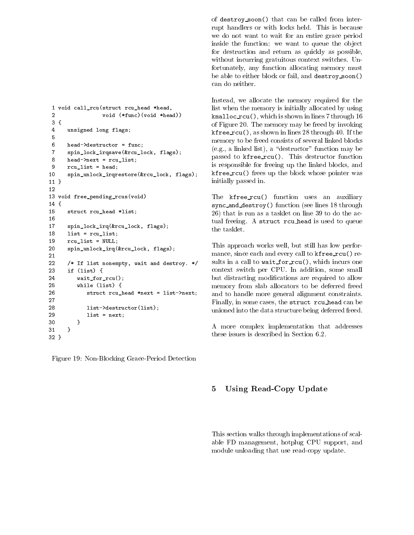1 void call\_rcu(struct rcu\_head \*head, 2 void (\*func)(void \*head)) 3 { 4 unsigned long flags; 6 head->destructor = func;  $\overline{7}$ 7 spin\_lock\_irqsave(&rcu\_lock, flags); 8 head->next = rcu\_list; 9 rcu\_list = head; 10 spin\_unlock\_irqrestore(&rcu\_lock, flags); 11 } 12 13 void free\_pending\_rcus(void) 14 { 15 struct rcu\_head \*list; 16 17 spin\_lock\_irq(&rcu\_lock, flags); 18 list = rcu\_list; 19 rcu\_list = NULL;  $20$ spin\_unlock\_irq(&rcu\_lock, flags); 21 22 /\* If list nonempty, wait and destroy. \*/ 23 if (list) { 24 wait\_for\_rcu(); 25 while (list) { 26 struct rcu\_head \*next = list->next; 27 28 list->destructor(list); 29  $list = next;$ 30 **}** 31 } 32 }

Figure 19: Non-Blocking Grace-Period Detection

of destroy soon() that can be called from interrupt handlers or with locks held. This is because we do not want to wait for an entire grace period inside the function: we want to queue the object for destruction and return as quickly as possible, without incurring gratuitous context switches. Unfortunately, any function allocating memory must be able to either block or fail, and destroy soon() can do neither.

Instead, we allocate the memory required for the list when the memory is initially allocated by using kmalloc recursive  $\lambda$  , which is shown in linear in lines 7 through 16 through 16 through 16 through 16 through 16 through 16 through 16 through 16 through 16 through 16 through 16 through 16 through 16 through 16 throug of Figure 20. The memory may be freed by invoking  $\mathbf{r}$  as shown in the state  $\mathbf{r}$  as shown in lines 28 through 40. If the state  $\mathbf{r}$ memory to be freed consists of several linked blocks  $(e.g., a linked list), a "destructor" function may be$ passed to kfree\_rcu(). This destructor function is responsible for freeing up the linked blocks, and kfree rcu() frees up the block whose pointer was initially passed in.

The kfree\_rcu() function uses an auxiliary  $s$  , is considered and  $s$  () function (see lines 18 through  $\sim$ 26) that is run as a tasklet on line 39 to do the actual freeing. A struct rcu head is used to queue the tasklet.

This approach works well, but still has low performance, since each and every call to kfree rcu() results in a call to wait for  $rcu()$ , which incurs one context switch per CPU. In addition, some small but distracting modications are required to allow memory from slab allocators to be deferred freed and to handle more general alignment constraints. Finally, in some cases, the struct rcu head can be unioned into the data structure being deferred freed.

A more complex implementation that addresses these issues is described in Section 6.2.

#### Using Read-Copy Update  $\mathbf{5}$

This section walks through implementations of scalable FD management, hotplug CPU support, and module unloading that use read-copy update.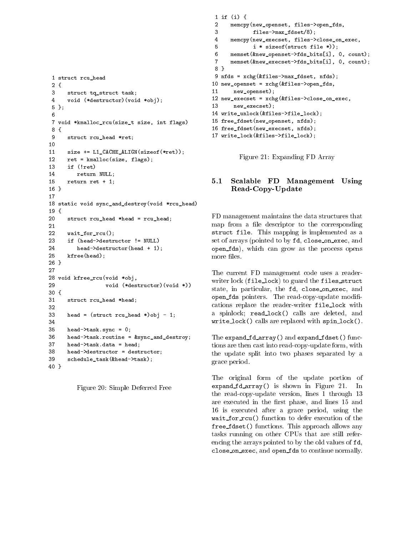```
1 struct rcu_head
2 {
3
      struct tq_struct task;
4 void (*destructor)(void *obj);
5 };
6
7 void *kmalloc_rcu(size_t size, int flags)
8 {
9 struct rcu_head *ret;
10
11size += L1_CACHE_ALIGN(sizeof(*ret));ret = kmalloc(size, flags);
12<sub>2</sub>13 if (!ret)
14 return NULL;
15 return ret + 1;
16 }
18 static void sync_and_destroy(void *rcu_head)
19 {
20struct rcu<sub>-</sub>head *head = rcu<sub>-</sub>head;
21
22
      wait_for_rcu();
23
      if (head->destructor != NULL)
24 head->destructor(head + 1);
25
      kfree(head);
26 }
27
28 void kfree_rcu(void *obj,
29 void (*destructor)(void *))
30 {
31struct rcu_head *head;
32
      head = (struct rcu_head *)obj - 1;
33
34
35 head->task.sync = 0;
36
      36 head->task.routine = &sync_and_destroy;
37 head->task.data = head;
38
      head->destructor = destructor;
39
      schedule_task(&head->task);
40 }
```
Figure 20: Simple Deferred Free

```
1 if (i) {
 \mathcal{D}memcpy(new_openset, files->open_fds,
3
             files->max_fdset/8);
 \overline{4}4 memcpy(new_execset, files->close_on_exec,
5
             i * size of (struct file *));6 memset(&new_openset->fds_bits[i], 0, count);
7 memset(&new_execset->fds_bits[i], 0, count);
8 }
9 nfds = xchg(&files->max_fdset, nfds);
10 new_openset = xchg(&files->open_fds,
11new_openset);
12 new_execset = xchg(&files->close_on_exec,
13
       new_execset);
14 write_unlock(&files->file_lock);
15 free_fdset(new_openset, nfds);
16 free_fdset(new_execset, nfds);
17 write_lock(&files->file_lock);
```
Figure 21: Expanding FD Array

## 5.1 Scalable FD Management Using Read-Copy-Update

FD management maintains the data structures that map from a file descriptor to the corresponding struct file. This mapping is implemented as a significant set of arrays (pointed to by fd, close on exec, and open fds), which can grow as the process opens more files.

The current FD management code uses a readerwriter lock (file\_lock) to guard the files\_struct state, in particular, the fd, close on exec, and open for pointers. The read-copy-update modification cations replace the reader-writer file lock with a spinlock; read lock() calls are deleted, and write are replaced with spins are replaced with spin local  $\gamma$  .

The expand fd\_array() and expand fdset() functions are then cast into read-copy-update form, with the update split into two phases separated by a grace period.

The original form of the update portion of experiment for a range for the shown in Figure 21. In Figure 21. In Figure 21. In Figure 21. In Figure 21. In Figure 21. In Figure 21. In Figure 21. In Figure 21. In Figure 21. In Figure 21. In Figure 21. In Figure 21. In the read-copy-update version, lines 1 through 13 are executed in the first phase, and lines 15 and 16 is executed after a grace period, using the was for recursive to defer execution of the form of the theory of the theory of the theory of the theory of the from forest the this approach allows approach allows any  $\mathcal{I}$ tasks running on other CPUs that are still referencing the arrays pointed to by the old values of fd, close on exec, and open fds to continue normally.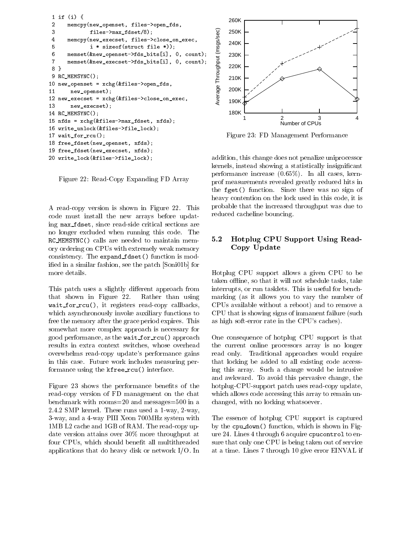```
1 if (i) {
 2 memcpy(new_openset, files->open_fds,
 3 files->max_fdset/8);<br>
4 memcpy(new_execset, files->close_on_exec, 08<br>
5 i*sizeof(struct file *));<br>
6 memset(&new_openset->fds_bits[i], 0, count);<br>
7 memset(&new_execset->fds_bits[i], 0, count);<br>
8 }<br>
9 RC_MEMSYNC();<br>
0 n
 3
                 files->max_fdset/8);
 5
                 i * sizeof(struct file *));
 6 memset(&new_openset->fds_bits[i], 0, count);
 7 memset(&new_execset->fds_bits[i], 0, count);
 8 }
 9 RC_MEMSYNC();
10 new\_openset = xchg(&files->open_fds,11new_openset);
12 new_execset = xchg(&files->close_on_exec,
13 new_execset);
14 RC_MEMSYNC();
15 nfds = xchg(&files->max_fdset, nfds);
16 write_unlock(&files->file_lock);
17 wait_for_rcu();
18 free_fdset(new_openset, nfds);
19 free_fdset(new_execset, nfds);
20 write_lock(&files->file_lock);
```
Figure 22: Read-Copy Expanding FD Array

A read-copy version is shown in Figure 22. This code must install the new arrays before updating max fdset, since read-side critical sections are no longer excluded when running this code. The RC MEMSYNC() calls are needed to maintain memory ordering on CPUs with extremely weak memory consistency. The expand\_fdset() function is modied in a similar fashion, see the patch [Soni01b] for more details.

This patch uses a slightly different approach from that shown in Figure 22. Rather than using was represented to registers read-copy called a large which asynchronously invoke auxiliary functions to free the memory after the grace period expires. This somewhat more complex approach is necessary for good performance, as the wait for rcu() approach results in extra context switches, whose overhead overwhelms read-copy update's performance gains in this case. Future work includes measuring performance using the  $k$ free\_ $rcu$ () interface.

Figure 23 shows the performance benefits of the read-copy version of FD management on the chat benchmark with rooms=20 and messages=500 in a 2.4.2 SMP kernel. These runs used a 1-way, 2-way, 3-way, and a 4-way PIII Xeon 700MHz system with 1MB L2 cache and 1GB of RAM. The read-copy update version attains over 30% more throughput at four CPUs, which should benefit all multithreaded applications that do heavy disk or network I/O. In



Figure 23: FD Management Performance

addition, this change does not penalize uniprocessor kernels, instead showing a statistically insignicant performance increase (0.65%). In all cases, kernprof measurements revealed greatly reduced hits in the fget() function. Since there was no sign of heavy contention on the lock used in this code, it is probable that the increased throughput was due to reduced cacheline bouncing.

#### 5.2 Hotplug CPU Support Using Read- $5.2$ Copy Update

Hotplug CPU support allows a given CPU to be taken offline, so that it will not schedule tasks, take interrupts, or run tasklets. This is useful for benchmarking (as it allows you to vary the number of CPUs available without a reboot) and to remove a CPU that is showing signs of immanent failure (such as high soft-error rate in the CPU's caches).

One consequence of hotplug CPU support is that the current online processors array is no longer read only. Traditional approaches would require that locking be added to all existing code accessing this array. Such a change would be intrusive and awkward. To avoid this pervasive change, the hotplug-CPU-support patch uses read-copy update, which allows code accessing this array to remain unchanged, with no locking whatsoever.

The essence of hotplug CPU support is captured by the cpu down() function, which is shown in Figure 24. Lines 4 through 6 acquire cpucontrol to ensure that only one CPU is being taken out of service at a time. Lines 7 through 10 give error EINVAL if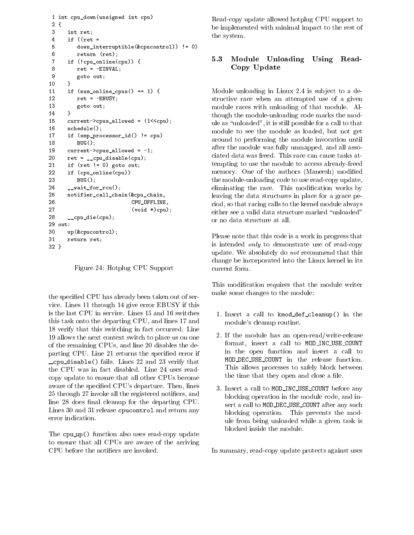```
1 int cpu_down(unsigned int cpu)
2 {
3 int ret;
4 if ((ret =
.5
         5 down_interruptible(&cpucontrol)) != 0)
6 return (ret);
7 if (!cpu_online(cpu)) {
8 ret = -EINVAL;
9 goto out;
      \mathcal{F}– 10 anis 10 anis 10 anis 10 anis 10 anis 10 anis 10 anis 10 anis 10 anis 10 anis 10 anis 10 anis 10 anis 10 a
11if (num\_online\_cpus() == 1) {
12
         ret = -EBUSY;13 goto out;
14 }
15 current->cpus_allowed = (1<<cpu);
16 schedule();
17 if (smp_processor_id() != cpu)
18
         BUG();
      current->cpus\_allowed = -1;19
20
      ret = \_cupcpu\_disable(cpu);21 if (ret != 0) goto out;
      if (cpu_online(cpu))
22
23
         BUG();
24 __wait_for_rcu();
25 notifier_call_chain(&cpu_chain,
26
                           26 CPU_OFFLINE,
27 (void *)cpu);
28 __cpu_die(cpu);
29 out:
30 up(&cpucontrol);
31
      return ret;
32 }
```
Figure 24: Hotplug CPU Support

the specied CPU has already been taken out of service. Lines 11 through 14 give error EBUSY if this is the last CPU in service. Lines 15 and 16 switches this task onto the departing CPU, and lines 17 and 18 verify that this switching in fact occurred. Line 19 allows the next context switch to place us on one of the remaining CPUs, and line 20 disables the departing CPU. Line 21 returns the specified error if cpus disability. Lines 23 and 23 verify the 23 verify that the 23 verify that is a verify that is a verified o the CPU was in fact disabled. Line 24 uses readcopy update to ensure that all other CPUs become aware of the specified CPU's departure. Then, lines 25 through 27 invoke all the registered notifiers, and line 28 does final cleanup for the departing CPU. Lines 30 and 31 release cpucontrol and return any error indication.

The cpu up() function also uses read-copy update to ensure that all CPUs are aware of the arriving CPU before the notiers are invoked.

Read-copy update allowed hotplug CPU support to be implemented with minimal impact to the rest of the system.

#### 5.3 Module Unloading Using Read-Copy Update

Module unloading in Linux 2.4 is sub ject to a destructive race when an attempted use of a given module races with unloading of that module. Although the module-unloading code marks the module as \unloaded", it is still possible for a call to that module to see the module as loaded, but not get around to performing the module invocation until after the module was fully unmapped, and all associated data was freed. This race can cause tasks attempting to use the module to access already-freed memory. One of the authors (Maneesh) modified the module-unloading code to use read-copy update, eliminating the race. This modification works by leaving the data structures in place for a grace period, so that racing calls to the kernel module always either see a valid data structure marked "unloaded" or no data structure at all.

Please note that this code is a work in progress that is intended only to demonstrate use of read-copy update. We absolutely do not recommend that this change be incorporated into the Linux kernel in its current form.

This modication requires that the module writer make some changes to the module:

- 1. Insert a call to kmod def cleanup() in the module's cleanup routine.
- 2. If the module has an open-read/write-release format, insert a call to MOD\_INC\_USE\_COUNT in the open function and insert a call to MOD DEC USE COUNT in the release function. This allows processes to safely block between the time that they open and close a file.
- 3. Insert a call to MOD\_INC\_USE\_COUNT before any blocking operation in the module code, and insert a call to MOD\_DEC\_USE\_COUNT after any such blocking operation. This prevents the module from being unloaded while a given task is blocked inside the module.

In summary, read-copy update protects against uses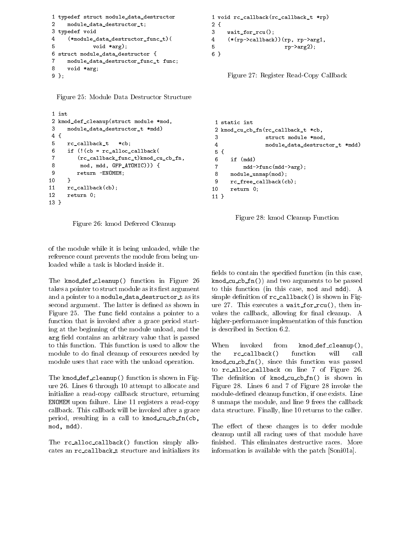```
1 typedef struct module_data_destructor
                                                        1 void rc_callback(rc_callback_t *rp)
\mathcal{D}module_data_destructor_t;
                                                        2 {
3 typedef void
                                                        3
                                                             wait_for_rcu();
\overline{4}4 (*module_data_destructor_func_t)(
5
              void *arg);
                                                        5
6 struct module_data_destructor {
                                                        6 }
7
     7 module_data_destructor_func_t func;
     void *arg;
8
9 };
```
Figure 25: Module Data Destructor Structure

```
1 int
 2 kmod_def_cleanup(struct module *mod,
 3 module_data_destructor_t *mdd)
 4 {
 .5
       5 rc_callback_t *cb;
 6 if (!(cb = rc_alloc_callback)7 (rc_callback_func_t)kmod_cu_cb_fn,
 8 mod, mdd, GFP_ATOMIC))) {
 9
           return -ENOMEM;
– 10 anis 10 anis 10 anis 10 anis 10 anis 10 anis 10 anis 10 anis 10 anis 10 anis 10 anis 10 anis 10 anis 10 a
11
       rc\_callback(cb);return 0;
12<sub>2</sub>13 }
```
Figure 26: kmod Deferred Cleanup

of the module while it is being unloaded, while the reference count prevents the module from being unloaded while a task is blocked inside it.

The kmod\_def\_cleanup() function in Figure 26 takes a pointer to struct module as its first argument and a pointer to a module\_data\_destructor\_t as its second argument. The latter is defined as shown in ure 27. This executes a wait for  $rcu()$ , then in-Figure 25. The func field contains a pointer to a function that is invoked after a grace period starting at the beginning of the module unload, and the arg nois contains an arbitrary value that is passed in to this function. This function is used to allow the module to do final cleanup of resources needed by module uses that race with the unload operation.

The kmod def cleanup() function is shown in Figure 26. Lines 6 through 10 attempt to allocate and initialize a read-copy callback structure, returning ENOMEM upon failure. Line 11 registers a read-copy callback. This callback will be invoked after a grace period, resulting in a call to kmod\_cu\_cb\_fn(cb, mod, mdd).

The rc\_alloc\_callback() function simply allocates an  $rc\_callback_t$  structure and initializes its

```
4 (*(rp->callback))(rp, rp->arg1,
                     rp->arg2);
```
Figure 27: Register Read-Copy Callback

```
1 static int
 2 kmod_cu_cb_fn(rc_callback_t *cb,
3
                 struct module *mod,
 \overline{4}4 module_data_destructor_t *mdd)
 5 {
6\phantom{a}if (mdd)
7 mdd->func(mdd->arg);
8 module_unmap(mod);
9 rc_free_callback(cb);
10 return 0;
11 }
```


fields to contain the specified function (in this case, kmod cod compared to the compared to be passed to be passed the passed of the passed of the passed of the passed of the passed of the passed of the passed of the passed of the passed of the passed of the passed of the pass to this function (in this case, mod and mdd). A simple definition of  $rc\_callback()$  is shown in Figvokes the callback, allowing for final cleanup. A higher-performance implementation of this function is described in Section 6.2.

invoked from kmod\_def\_cleanup(), the rc\_callback() function will call kmod ch for factor that the function was passed was passed was passed was passed was passed was passed was passed was passed was passed was also because the contract of the contract of the contract of the contract of the c to  $rc$ -alloc-callback on line  $7$  of Figure 26. The definition of kmod\_cu\_cb\_fn() is shown in Figure 28. Lines 6 and 7 of Figure 28 invoke the module-defined cleanup function, if one exists. Line 8 unmaps the module, and line 9 frees the callback data structure. Finally, line 10 returns to the caller.

The effect of these changes is to defer module cleanup until all racing uses of that module have nished. This eliminates destructive races. More information is available with the patch [Soni01a].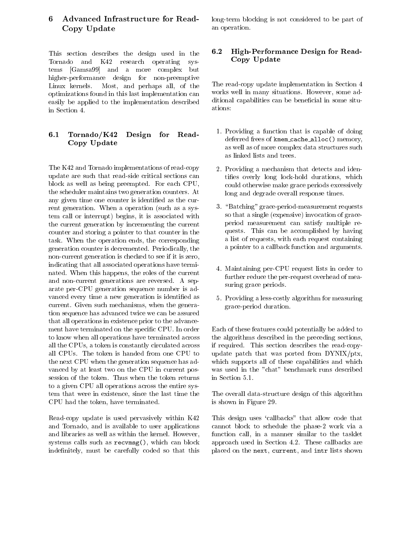## 6 Advanced Infrastructure for Read-Copy Update

This section describes the design used in the Tornado and K42 research operating systems [Gamsa99] and a more complex but higher-performance design for non-preemptive Linux kernels. Most, and perhaps all, of the optimizations found in this last implementation can easily be applied to the implementation described in Section 4.

## 6.1 Tornado/K42 Design for Read-Copy Update

The K42 and Tornado implementations of read-copy update are such that read-side critical sections can block as well as being preempted. For each CPU, the scheduler maintains two generation counters. At any given time one counter is identied as the current generation. When a operation (such as a system call or interrupt) begins, it is associated with the current generation by incrementing the current counter and storing a pointer to that counter in the task. When the operation ends, the corresponding generation counter is decremented. Periodically, the non-current generation is checked to see if it is zero, indicating that all associated operations have terminated. When this happens, the roles of the current and non-current generations are reversed. A separate per-CPU generation sequence number is ad vanced every time a new generation is identified as current. Given such mechanisms, when the generation sequence has advanced twice we can be assured that all operations in existence prior to the advancement have terminated on the specific CPU. In order to know when all operations have terminated across all the CPUs, a token is constantly circulated across all CPUs. The token is handed from one CPU to the next CPU when the generation sequence has ad vanced by at least two on the CPU in current possession of the token. Thus when the token returns to a given CPU all operations across the entire system that were in existence, since the last time the CPU had the token, have terminated.

Read-copy update is used pervasively within K42 and Tornado, and is available to user applications and libraries as well as within the kernel. However, systems calls such as recvmsg(), which can block indefinitely, must be carefully coded so that this

long-term blocking is not considered to be part of an operation.

## 6.2 High-Performance Design for Read-Copy Update

The read-copy update implementation in Section 4 works well in many situations. However, some additional capabilities can be beneficial in some situations:

- 1. Providing a function that is capable of doing deferred frees of kmem\_cache\_alloc() memory, as well as of more complex data structures such as linked lists and trees.
- 2. Providing a mechanism that detects and identies overly long lock-hold durations, which could otherwise make grace periods excessively long and degrade overall response times.
- 3. "Batching" grace-period-measurement requests so that a single (expensive) invocation of graceperiod measurement can satisfy multiple requests. This can be accomplished by having a list of requests, with each request containing a pointer to a callback function and arguments.
- 4. Maintaining per-CPU request lists in order to further reduce the per-request overhead of measuring grace periods.
- 5. Providing a less-costly algorithm for measuring grace-period duration.

Each of these features could potentially be added to the algorithms described in the preceding sections, if required. This section describes the read-copyupdate patch that was ported from DYNIX/ptx, which supports all of these capabilities and which was used in the "chat" benchmark runs described

The overall data-structure design of this algorithm is shown in Figure 29.

This design uses `callbacks" that allow code that cannot block to schedule the phase-2 work via a function call, in a manner similar to the tasklet approach used in Section 4.2. These callbacks are placed on the next, current, and intr lists shown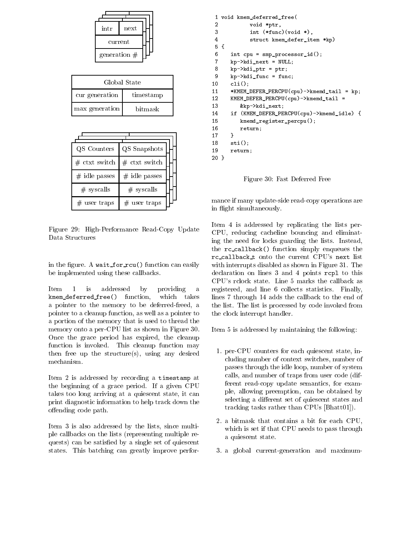

| Global State   |           |
|----------------|-----------|
| cur generation | timestamp |
| max generation | hit mask  |

| QS Counters     | QS Snapshots    |  |
|-----------------|-----------------|--|
| $#$ ctxt switch | $#$ ctxt switch |  |
| $#$ idle passes | $#$ idle passes |  |
| $#$ syscalls    | $#$ syscalls    |  |
| user traps      | $#$ user traps  |  |

Figure 29: High-Performance Read-Copy Update Data Structures

in the figure. A wait for  $rcu$  () function can easily be implemented using these callbacks.

Item 1 is addressed by providing a kmem deferred free free () function, which takes the state of  $\mathcal{L}_{\mathcal{A}}$ a pointer to the memory to be deferred-freed, a pointer to a cleanup function, as well as a pointer to a portion of the memory that is used to thread the memory onto a per-CPU list as shown in Figure 30. Once the grace period has expired, the cleanup function is invoked. This cleanup function may then free up the structure(s), using any desired mechanism.

Item 2 is addressed by recording a timestamp at the beginning of a grace period. If a given CPU takes too long arriving at a quiescent state, it can print diagnostic information to help track down the offending code path.

Item 3 is also addressed by the lists, since multiple callbacks on the lists (representing multiple requests) can be satisfied by a single set of quiescent states. This batching can greatly improve perfor-

```
1 void kmem_deferred_free(
\mathcal{D}void *ptr,
3
           int (*func)(void *),
4 struct kmem_defer_item *kp)
5 {
6 int cpu = smp_processor_id();
7 kp->kdi_next = NULL;
8
     kp-\lambda kdi_ptr = ptr;9 kp->kdi_func = func;
10 cli();
11 *KMEM_DEFER_PERCPU(cpu)->kmemd_tail = kp;
12KMEM_DETER_PERCPU(cpu)-\n>kmemd\_tail =13
        13 &kp->kdi_next;
14 if (KMEM_DEFER_PERCPU(cpu)->kmemd_idle) {
15 kmemd_register_percpu();
16 return;
17 }
18
     sti();
19
     return;
20 }
```
Figure 30: Fast Deferred Free

mance if many update-side read-copy operations are in flight simultaneously.

Item 4 is addressed by replicating the lists per-CPU, reducing cacheline bouncing and eliminating the need for locks guarding the lists. Instead, the rc callback() function simply enqueues the rc callback <sup>t</sup> onto the current CPU's next list with interrupts disabled as shown in Figure 31. The declaration on lines 3 and 4 points rcpl to this CPU's rclock state. Line 5 marks the callback as registered, and line 6 collects statistics. Finally, lines 7 through 14 adds the callback to the end of the list. The list is processed by code invoked from the clock interrupt handler.

Item 5 is addressed by maintaining the following:

- 1. per-CPU counters for each quiescent state, including number of context switches, number of passes through the idle loop, number of system calls, and number of traps from user code (different read-copy update semantics, for example, allowing preemption, can be obtained by selecting a different set of quiescent states and tracking tasks rather than CPUs [Bhatt01]).
- 2. a bitmask that contains a bit for each CPU, which is set if that CPU needs to pass through a quiescent state.
- 3. a global current-generation and maximum-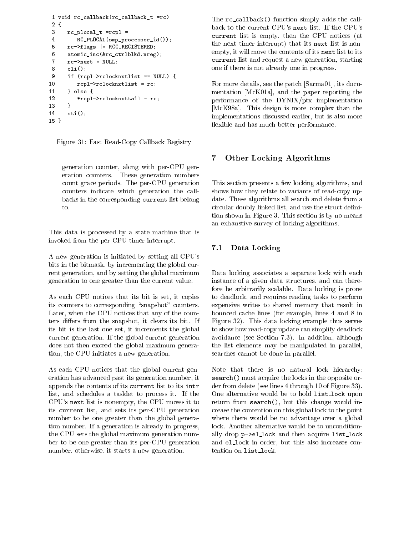```
1 void rc_callback(rc_callback_t *rc)
2 {
3 rc_plocal_t *rcpl =
4 RC_PLOCAL(smp_processor_id());
5
      rc->flags |= RCC_REGISTERED;
6 atomic_inc(&rc_ctrlblkd.nreg);
7 rc->next = NULL;
      cli():
 and the state of the state of the state of the state of the state of the state of the state of the state of the
9 if (rcpl->rclocknxtlist == NULL) {
10 rcpl->rclocknxtlist = rc;
1111 } else {
12
          *rcpl->rclocknxttail = rc;13 }
14 sti();
15 }
```
Figure 31: Fast Read-Copy Callback Registry

generation counter, along with per-CPU generation counters. These generation numbers count grace periods. The per-CPU generation counters indicate which generation the callbacks in the corresponding current list belong to.

This data is processed by a state machine that is invoked from the per-CPU timer interrupt.

A new generation is initiated by setting all CPU's bits in the bitmask, by incrementing the global current generation, and by setting the global maximum generation to one greater than the current value.

As each CPU notices that its bit is set, it copies its counters to corresponding "snapshot" counters. Later, when the CPU notices that any of the counters differs from the snapshot, it clears its bit. If its bit is the last one set, it increments the global current generation. If the global current generation does not then exceed the global maximum generation, the CPU initiates a new generation.

As each CPU notices that the global current generation has advanced past its generation number, it appends the contents of its current list to its intr list, and schedules a tasklet to process it. If the CPU's next list is nonempty, the CPU moves it to its current list, and sets its per-CPU generation number to be one greater than the global generation number. If a generation is already in progress, the CPU sets the global maximum generation number to be one greater than its per-CPU generation number, otherwise, it starts a new generation.

The rc\_callback() function simply adds the callback to the current CPU's next list. If the CPU's current list is empty, then the CPU notices (at the next timer interrupt) that its next list is nonempty, it will move the contents of its next list to its current list and request a new generation, starting, starting, one if there is not already one in progress.

For more details, see the patch [Sarma01], its documentation [McK01a], and the paper reporting the performance of the DYNIX/ptx implementation [McK98a]. This design is more complex than the implementations discussed earlier, but is also more flexible and has much better performance.

#### **Other Locking Algorithms** 7

This section presents a few locking algorithms, and shows how they relate to variants of read-copy update. These algorithms all search and delete from a circular doubly linked list, and use the struct definition shown in Figure 3. This section is by no means an exhaustive survey of locking algorithms.

#### 7.1 Data Locking

Data locking associates a separate lock with each instance of a given data structures, and can therefore be arbitrarily scalable. Data locking is prone to deadlock, and requires reading tasks to perform expensive writes to shared memory that result in bounced cache lines (for example, lines 4 and 8 in Figure 32). This data locking example thus serves to show how read-copy update can simplify deadlock avoidance (see Section 7.3). In addition, although the list elements may be manipulated in parallel, searches cannot be done in parallel.

Note that there is no natural lock hierarchy: search() must acquire the locks in the opposite order from delete (see lines 4 through 10 of Figure 33). One alternative would be to hold list\_lock upon return from search(), but this change would increase the contention on this global lock to the point where there would be no advantage over a global lock. Another alternative would be to unconditionally drop p->el lock and then acquire list lock and el lock in order, but this also increases contention on list lock.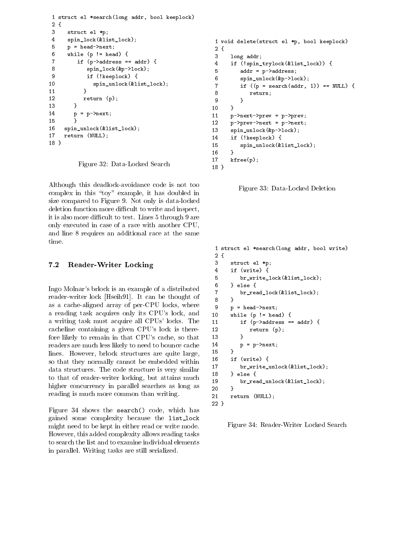```
1 struct el *search(long addr, bool keeplock)
2 {
3
     struct el *p;
4 spin_lock(&list_lock);
5
     p = head->next;
6 while (p := head) {
7 if (p->address == addr) {
          8 spin_lock(&p->lock);
8
9 if (!keeplock) {
10
            spin_unlock(&list_lock);
11 }
12
         return (p);1313 }
14 p = p-\text{next};15 }
16
    spin_unlock(&list_lock);
17 return (NULL);
18 }
```
Figure 32: Data-Locked Search

Although this deadlock-avoidance code is not too complex in this "toy" example, it has doubled in size compared to Figure 9. Not only is data-locked deletion function more difficult to write and inspect, it is also more difficult to test. Lines 5 through 9 are only executed in case of a race with another CPU, and line 8 requires an additional race at the same time.

#### 7.2 Reader-Writer Locking

18 }

Ingo Molnar's brlock is an example of a distributed  $\frac{6}{7}$ reader-writer lock [Hseih91]. It can be thought of  $\frac{1}{8}$ as a cache-aligned array of per-CPU locks, where a reading task acquires only its CPU's lock, and a writing task must acquire all CPUs' locks. The cacheline containing a given CPU's lock is therefore likely to remain in that CPU's cache, so that readers are much less likely to need to bounce cache lines. However, brlock structures are quite large,  $15$ <br>so that they normally cannot be embedded within 16 so that they normally cannot be embedded within  $\frac{16}{17}$ data structures. The code structure is very similar  $\frac{17}{18}$ to that of reader-writer locking, but attains much  $\frac{10}{19}$ higher concurrency in parallel searches as long as  $\frac{15}{20}$ reading is much more common than writing.

Figure 34 shows the search() code, which has gained some complexity because the list lock might need to be kept in either read or write mode. However, this added complexity allows reading tasks to search the list and to examine individual elements in parallel. Writing tasks are still serialized.

```
1 void delete(struct el *p, bool keeplock)
 2 {
3 long addr;
 4 if (!spin_trylock(&list_lock)) {
 5 addr = p->address;
 6 spin_unlock(&p->lock);
 7 if ((p = search(data, 1)) == NULL) {
 8 return;
\overline{9}9 }
10 }
11 p->next->prev = p->prev;
12 p-\text{prev}-\text{next} = p-\text{next};13 spin_unlock(&p->lock);
14
        if (!keeplock) {
15
            spin_unlock(&list_lock);
        ŀ
– 16 anis 16 anis 16 anis 16 anis 16 anis 16 anis 16 anis 16 anis 16 anis 16 anis 16 anis 16 anis 16 anis 16 anis 16 anis 16 anis 16 anis 16 anis 16 anis 16 anis 16 anis 16 anis 16 anis 16 anis 16 anis 16 anis 16 anis 16
17 kfree(p);
18 }
```
Figure 33: Data-Locked Deletion

```
1 struct el *search(long addr, bool write)
 2 {
3 struct el *p;
 4 if (write) {
 5 br_write_lock(&list_lock);
       6 } else {
           br_read_lock(&list_lock);
       \mathcal{F}8 }
       p = head->next;while (p := head) {
           if (p-\texttt{address} == \texttt{addr}) {
12 return (p);
           \mathcal{F}13 }
14 p = p->next;
15
       \mathcal{F}<u>– – Jean Jacques III (b. 1588)</u>
       if (write) {
           br_write_unlock(&list_lock);
       } else {
18 a second terms of the second second second second second second second second second second second second s
           br_read_unlock(&list_lock);
       \mathcal{F}20 }
21return (NULL);
22 }
```
Figure 34: Reader-Writer Locked Search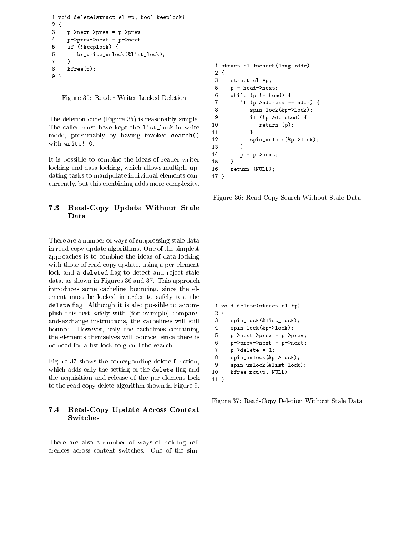```
1 void delete(struct el *p, bool keeplock)
2 {
3
     3 p->next->prev = p->prev;
4 p->prev->next = p->next;
5
     5 if (!keeplock) {
6 br_write_unlock(&list_lock);
7 }
8
     kfree(p);
9 }
```
Figure 35: Reader-Writer Locked Deletion

The deletion code (Figure 35) is reasonably simple.  $\frac{9}{10}$ The caller must have kept the list lock in write  $\frac{10}{11}$ mode, presumably by having invoked search()  $\frac{11}{12}$ with write!=0.

It is possible to combine the ideas of reader-writer  $\frac{1}{15}$ locking and data locking, which allows multiple updating tasks to manipulate individual elements concurrently, but this combining adds more complexity.

#### 7.3 Read-Copy Update Without Stale Data

There are a number of ways of suppressing stale data in read-copy update algorithms. One of the simplest approaches is to combine the ideas of data locking with those of read-copy update, using a per-element lock and a deleted flag to detect and reject stale data, as shown in Figures 36 and 37. This approach introduces some cacheline bouncing, since the element must be locked in order to safely test the age is a significant and the although it is also possible to accomplish this test safely with (for example) compareand-exchange instructions, the cachelines will still bounce. However, only the cachelines containing  $\frac{4}{10}$ the elements themselves will bounce, since there is  $\frac{5}{6}$ no need for a list lock to guard the search.

Figure 37 shows the corresponding delete function, which adds only the setting of the delete flag and  $10$ the acquisition and release of the per-element lock to the read-copy delete algorithm shown in Figure 9.

#### 7.4 Read-Copy Update Across Context Switches

There are also a number of ways of holding references across context switches. One of the sim-

```
1 struct el *search(long addr)
2 {
3
     struct el *p;
5
     p = head->next;
6
     while (p := head) {
        if (p-\texttt{address} == \texttt{addr}) {
8
           8 spin_lock(&p->lock);
9
           9 if (!p->deleted) {
              return (p);11 }
           spin_unlock(&p->lock);
13 }
14 p = p->next;
15 }
16 return (NULL);
17}
```
– *17 anis 17 anis 17 anis 17 an*is 17 anis 17 anis 17 anis 17 anis 17 anis 17 anis 17 anis 17 anis 17 anis 17 anis 17 anis 17 anis 17 anis 17 anis 17 anis 17 anis 17 anis 17 anis 17 anis 17 anis 17 anis 17 anis 17 anis 17

Figure 36: Read-Copy Search Without Stale Data

```
1 void delete(struct el *p)
2 {
3 spin_lock(&list_lock);
4 spin_lock(&p->lock);
     5 p->next->prev = p->prev;
     p->prev->next = p->next;
7   p->delete = 1;
8
     8 spin_unlock(&p->lock);
     9 spin_unlock(&list_lock);
     kfree_rcu(p, NULL);
11 }
```
Figure 37: Read-Copy Deletion Without Stale Data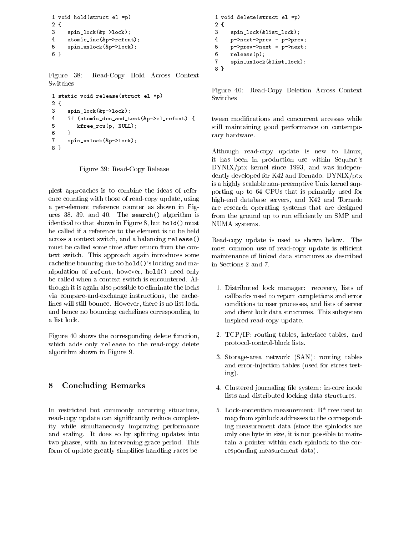```
1 void hold(struct el *p)
2 {
3
     3 spin_lock(&p->lock);
4 atomic_inc(&p->refcnt);
5
     5 spin_unlock(&p->lock);
6 }
```
Figure 38: Read-Copy Hold Across Context **Switches** 

```
1 static void release(struct el *p)
2 {
3 spin_lock(&p->lock);
\overline{4}4 if (atomic_dec_and_test(&p->el_refcnt) {
5 kfree_rcu(p, NULL);
6 }
7 spin_unlock(&p->lock);
8 }
```
Figure 39: Read-Copy Release

plest approaches is to combine the ideas of reference counting with those of read-copy update, using a per-element reference counter as shown in Figures 38, 39, and 40. The search() algorithm is identical to that shown in Figure 8, but hold() must be called if a reference to the element is to be held across a context switch, and a balancing release() must be called some time after return from the context switch. This approach again introduces some cacheline bouncing due to hold()'s locking and manipulation of refcnt, however, hold() need only be called when a context switch is encountered. Although it is again also possible to eliminate the locks via compare-and-exchange instructions, the cachelines will still bounce. However, there is no list lock, and hence no bouncing cachelines corresponding to a list lock.

Figure 40 shows the corresponding delete function, which adds only release to the read-copy delete algorithm shown in Figure 9.

## 8 Concluding Remarks

In restricted but commonly occurring situations, read-copy update can signicantly reduce complexity while simultaneously improving performance and scaling. It does so by splitting updates into two phases, with an intervening grace period. This form of update greatly simplifies handling races be-

```
1 void delete(struct el *p)
2 {
3
     3 spin_lock(&list_lock);
4 p->next->prev = p->prev;
     5 p->prev->next = p->next;
5
6 release(p);
7 spin_unlock(&list_lock);
8 }
```
Figure 40: Read-Copy Deletion Across Context Switches

tween modications and concurrent accesses while still maintaining good performance on contemporary hardware.

Although read-copy update is new to Linux, it has been in production use within Sequent's DYNIX/ptx kernel since 1993, and was independently developed for K42 and Tornado. DYNIX/ptx is a highly scalable non-preemptive Unix kernel supporting up to 64 CPUs that is primarily used for high-end database servers, and K42 and Tornado are research operating systems that are designed from the ground up to run efficiently on SMP and NUMA systems.

Read-copy update is used as shown below. The most common use of read-copy update is efficient maintenance of linked data structures as described in Sections 2 and 7.

- 1. Distributed lock manager: recovery, lists of callbacks used to report completions and error conditions to user processes, and lists of server and client lock data structures. This subsystem inspired read-copy update.
- 2. TCP/IP: routing tables, interface tables, and protocol-control-block lists.
- 3. Storage-area network (SAN): routing tables and error-injection tables (used for stress testing).
- 4. Clustered journaling file system: in-core inode lists and distributed-locking data structures.
- 5. Lock-contention measurement: B\* tree used to map from spinlock addresses to the corresponding measurement data (since the spinlocks are only one byte in size, it is not possible to maintain a pointer within each spinlock to the corresponding measurement data).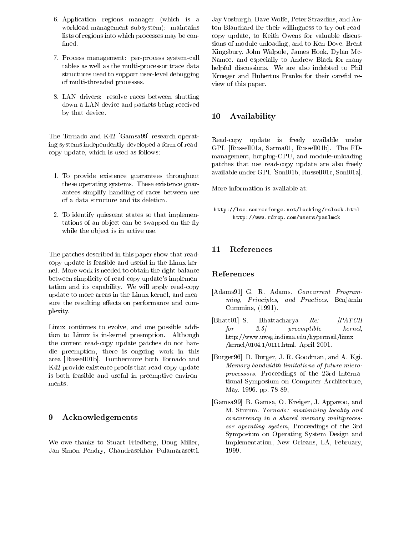- 6. Application regions manager (which is a workload-management subsystem): maintains lists of regions into which processes may be con fined.
- 7. Process management: per-process system-call tables as well as the multi-processor trace data structures used to support user-level debugging of multi-threaded processes.
- 8. LAN drivers: resolve races between shutting down a LAN device and packets being received by that device.

The Tornado and K42 [Gamsa99] research operating systems independently developed a form of readcopy update, which is used as follows:

- 1. To provide existence guarantees throughout these operating systems. These existence guarantees simplify handling of races between use of a data structure and its deletion.
- 2. To identify quiescent states so that implementations of an object can be swapped on the fly while the object is in active use.

The patches described in this paper show that readcopy update is feasible and useful in the Linux kernel. More work is needed to obtain the right balance between simplicity of read-copy update's implementation and its capability. We will apply read-copy update to more areas in the Linux kernel, and measure the resulting effects on performance and complexity.

Linux continues to evolve, and one possible addition to Linux is in-kernel preemption. Although the current read-copy update patches do not handle preemption, there is ongoing work in this area [Russell01b]. Furthermore both Tornado and K42 provide existence proofs that read-copy update is both feasible and useful in preemptive environments.

#### 9 Acknowledgements

We owe thanks to Stuart Friedberg, Doug Miller, Jan-Simon Pendry, Chandrasekhar Pulamarasetti, Jay Vosburgh, Dave Wolfe, Peter Strazdins, and Anton Blanchard for their willingness to try out readcopy update, to Keith Owens for valuable discussions of module unloading, and to Ken Dove, Brent Kingsbury, John Walpole, James Hook, Dylan Mc-Namee, and especially to Andrew Black for many helpful discussions. We are also indebted to Phil Krueger and Hubertus Franke for their careful review of this paper.

### 10 Availability

Read-copy update is freely available under GPL [Russell01a, Sarma01, Russell01b]. The FDmanagement, hotplug-CPU, and module-unloading patches that use read-copy update are also freely available under GPL [Soni01b, Russell01c, Soni01a].

More information is available at:

http://lse.sourceforge.net/locking/rclock.html http://www.rdrop.com/users/paulmck

#### **References** 11

#### References

- [Adams91] G. R. Adams. Concurrent Programming, Principles, and Practices, Benjamin Cummins, (1991).
- [Bhatt01] S. Bhattacharya Re: [PATCH  $for \t2.5$  preemptible kernel, http://www.uwsg.indiana.edu/hypermail/linux /kernel/0104.1/0111.html, April 2001.
- [Burger96] D. Burger, J. R. Goodman, and A. Kgi. Memory bandwidth limitations of future microprocessors, Proceedings of the 23rd International Symposium on Computer Architecture, May, 1996. pp. 78-89,
- [Gamsa99] B. Gamsa, O. Kreiger, J. Appavoo, and M. Stumm. Tornado: maximizing locality and concurrency in a shared memory multiprocessor operating system, Proceedings of the 3rd Symposium on Operating System Design and Implementation, New Orleans, LA, February, 1999.